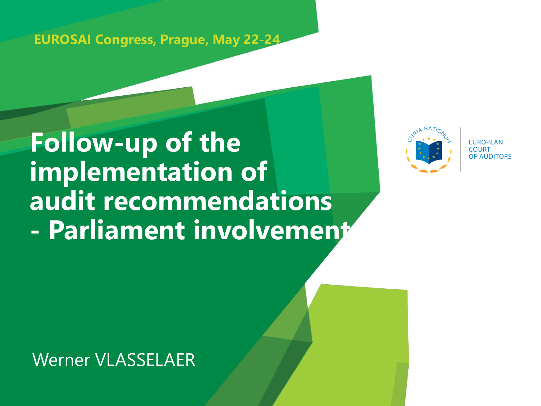**EUROSAI Congress, Prague, May 22-24**

# **Follow-up of the implementation of audit recommendations - Parliament involvement**



**EUROPEAN E AUDITORS** 

Werner VLASSELAER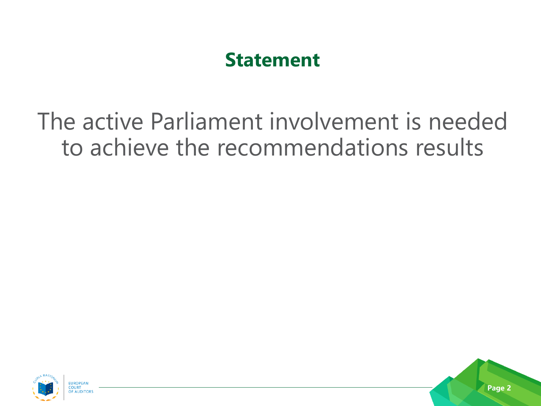## **Statement**

## The active Parliament involvement is needed to achieve the recommendations results

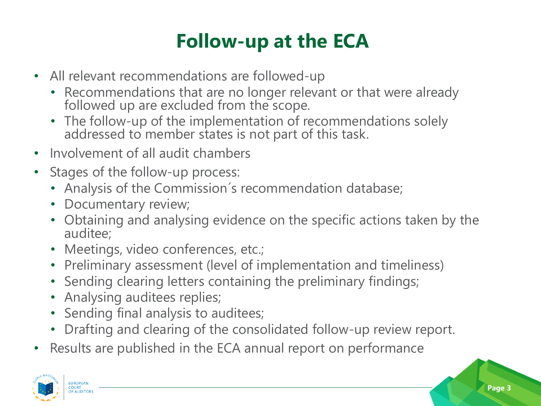## **Follow-up at the ECA**

- All relevant recommendations are followed-up
	- Recommendations that are no longer relevant or that were already followed up are excluded from the scope.
	- The follow-up of the implementation of recommendations solely addressed to member states is not part of this task.
- Involvement of all audit chambers
- Stages of the follow-up process:
	- Analysis of the Commission´s recommendation database;
	- Documentary review;
	- Obtaining and analysing evidence on the specific actions taken by the auditee;
	- Meetings, video conferences, etc.;
	- Preliminary assessment (level of implementation and timeliness)
	- Sending clearing letters containing the preliminary findings;
	- Analysing auditees replies;
	- Sending final analysis to auditees;
	- Drafting and clearing of the consolidated follow-up review report.
- Results are published in the ECA annual report on performance

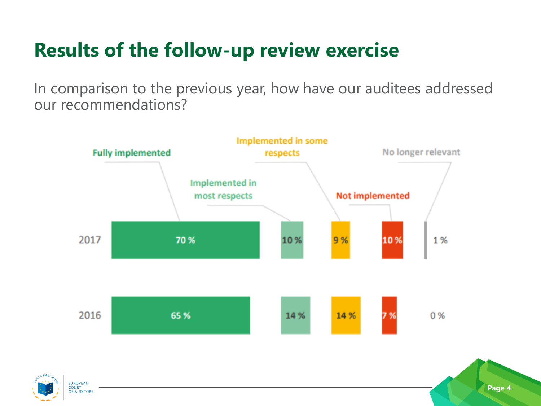## **Results of the follow-up review exercise**

In comparison to the previous year, how have our auditees addressed our recommendations?



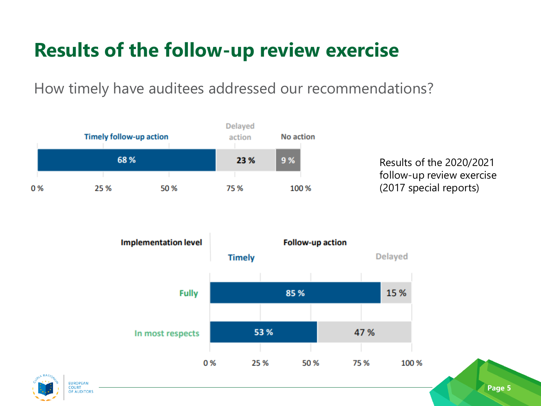## **Results of the follow-up review exercise**

How timely have auditees addressed our recommendations?



Results of the 2020/2021 follow-up review exercise (2017 special reports)



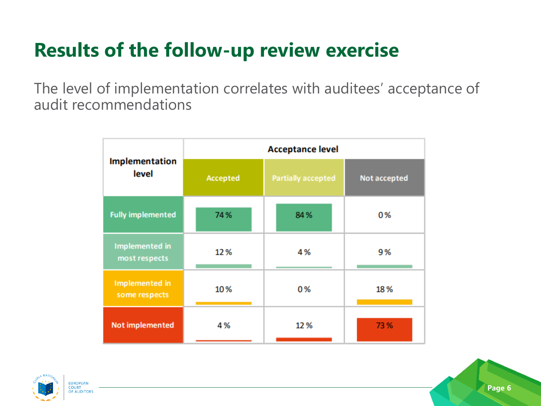## **Results of the follow-up review exercise**

The level of implementation correlates with auditees' acceptance of audit recommendations

| Implementation<br>level                | <b>Acceptance level</b> |                           |              |
|----------------------------------------|-------------------------|---------------------------|--------------|
|                                        | Accepted                | <b>Partially accepted</b> | Not accepted |
| <b>Fully implemented</b>               | 74%                     | 84%                       | 0%           |
| <b>Implemented in</b><br>most respects | 12%                     | 4%                        | 9%           |
| <b>Implemented</b> in<br>some respects | 10%                     | 0%                        | 18%          |
| <b>Not implemented</b>                 | 4%                      | 12%                       | 73 %         |

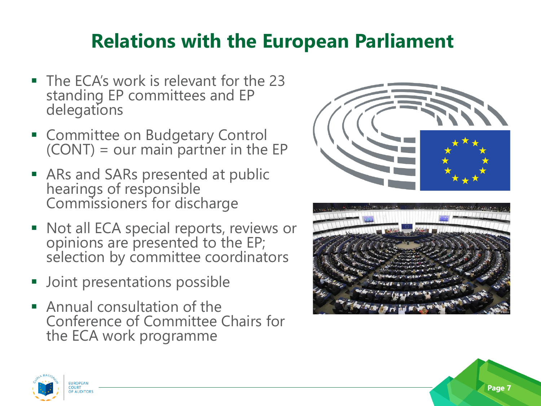## **Relations with the European Parliament**

- The ECA's work is relevant for the 23 standing EP committees and EP delegations
- **E** Committee on Budgetary Control  $(CONT) = our main$  partner in the EP
- ARs and SARs presented at public hearings of responsible Commissioners for discharge
- Not all ECA special reports, reviews or opinions are presented to the EP; selection by committee coordinators
- Joint presentations possible
- $\blacksquare$  Annual consultation of the Conference of Committee Chairs for the ECA work programme



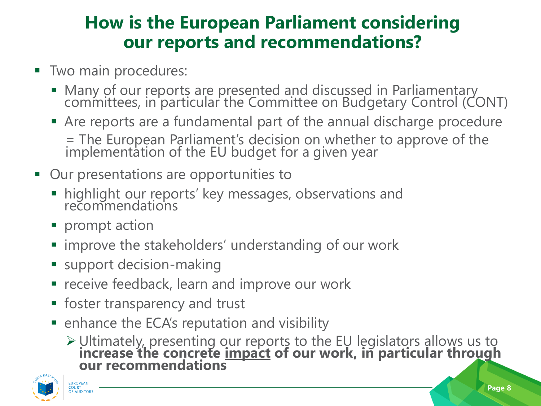#### **How is the European Parliament considering our reports and recommendations?**

- **Two main procedures:** 
	- **E** Many of our reports are presented and discussed in Parliamentary committees, in particular the Committee on Budgetary Control (CONT)
	- **EXTERGHT Are reports are a fundamental part of the annual discharge procedure** = The European Parliament's decision on whether to approve of the implementation of the EU budget for a given year
- Our presentations are opportunities to
	- **.** highlight our reports' key messages, observations and recommendations
	- prompt action
	- improve the stakeholders' understanding of our work
	- support decision-making
	- receive feedback, learn and improve our work
	- **Exercise is contributed** Figures **Figures**
	- enhance the ECA's reputation and visibility
		- ➢Ultimately, presenting our reports to the EU legislators allows us to **increase the concrete impact of our work, in particular through our recommendations**



**OF AUDITORS**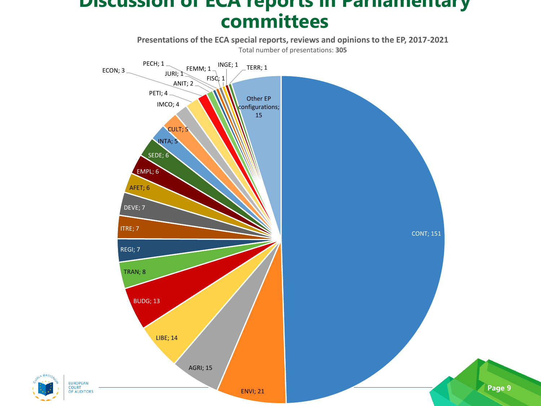#### **Discussion of ECA reports in Parliamentary committees**



**EUROPEAN COURT<br>OF AUDITORS**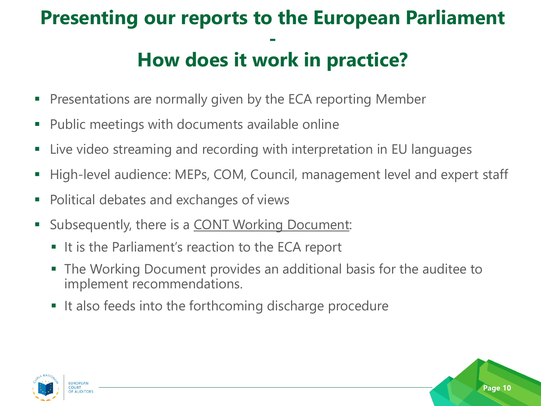#### **Presenting our reports to the European Parliament - How does it work in practice?**

- **Presentations are normally given by the ECA reporting Member**
- Public meetings with documents available online
- Live video streaming and recording with interpretation in EU languages
- High-level audience: MEPs, COM, Council, management level and expert staff
- Political debates and exchanges of views
- **EXE** Subsequently, there is a **CONT Working Document:** 
	- It is the Parliament's reaction to the ECA report
	- The Working Document provides an additional basis for the auditee to implement recommendations.
	- It also feeds into the forthcoming discharge procedure

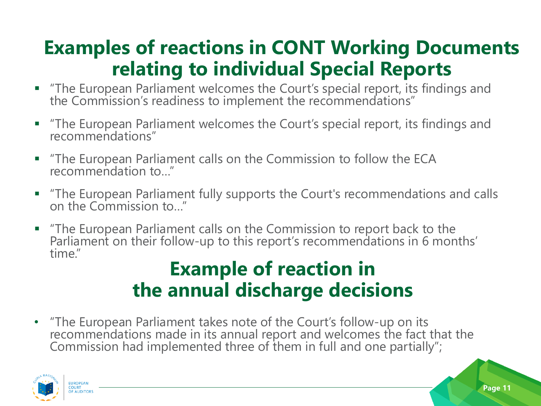## **Examples of reactions in CONT Working Documents relating to individual Special Reports**

- "The European Parliament welcomes the Court's special report, its findings and the Commission's readiness to implement the recommendations"
- The European Parliament welcomes the Court's special report, its findings and recommendations"
- "The European Parliament calls on the Commission to follow the ECA recommendation to…"
- "The European Parliament fully supports the Court's recommendations and calls on the Commission to…"
- "The European Parliament calls on the Commission to report back to the Parliament on their follow-up to this report's recommendations in 6 months' time."

#### **Example of reaction in the annual discharge decisions**

• "The European Parliament takes note of the Court's follow-up on its recommendations made in its annual report and welcomes the fact that the Commission had implemented three of them in full and one partially";